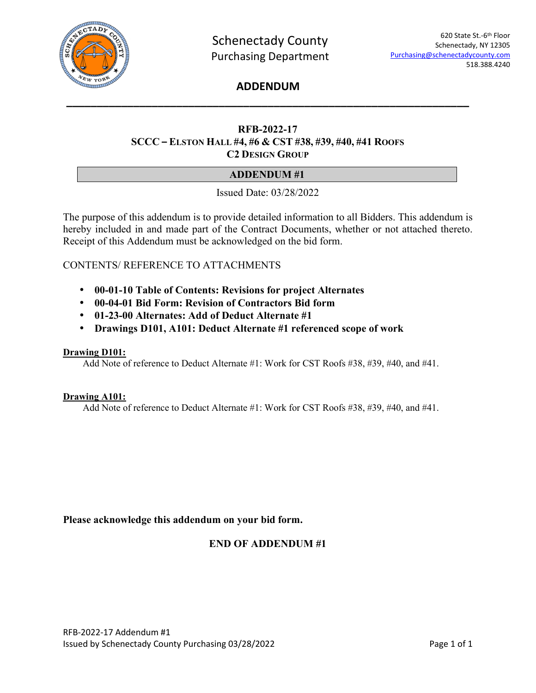

# **ADDENDUM \_\_\_\_\_\_\_\_\_\_\_\_\_\_\_\_\_\_\_\_\_\_\_\_\_\_\_\_\_\_\_\_\_\_\_\_\_\_\_\_\_\_\_\_\_\_\_\_\_\_\_\_\_\_\_\_\_\_\_\_\_\_\_\_\_\_**

# **RFB-2022-17 SCCC – ELSTON HALL #4, #6 & CST #38, #39, #40, #41 ROOFS C2 DESIGN GROUP**

# **ADDENDUM #1**

Issued Date: 03/28/2022

The purpose of this addendum is to provide detailed information to all Bidders. This addendum is hereby included in and made part of the Contract Documents, whether or not attached thereto. Receipt of this Addendum must be acknowledged on the bid form.

# CONTENTS/ REFERENCE TO ATTACHMENTS

- **00-01-10 Table of Contents: Revisions for project Alternates**
- **00-04-01 Bid Form: Revision of Contractors Bid form**
- **01-23-00 Alternates: Add of Deduct Alternate #1**
- **Drawings D101, A101: Deduct Alternate #1 referenced scope of work**

#### **Drawing D101:**

Add Note of reference to Deduct Alternate #1: Work for CST Roofs #38, #39, #40, and #41.

#### **Drawing A101:**

Add Note of reference to Deduct Alternate #1: Work for CST Roofs #38, #39, #40, and #41.

## **Please acknowledge this addendum on your bid form.**

# **END OF ADDENDUM #1**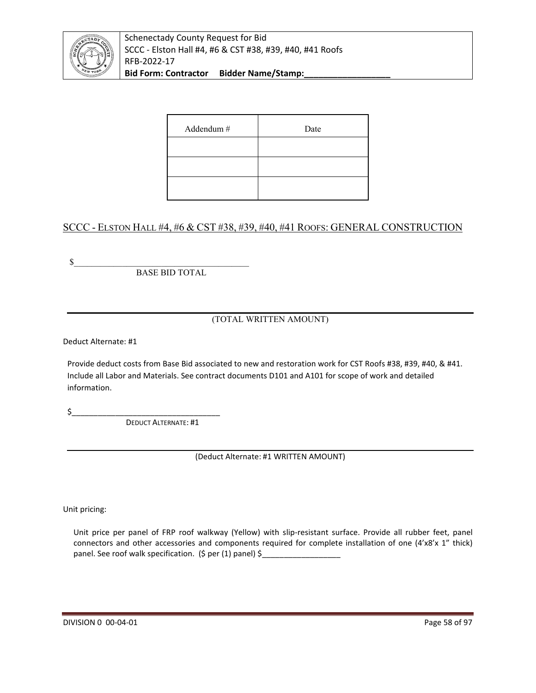

Schenectady County Request for Bid SCCC - Elston Hall #4, #6 & CST #38, #39, #40, #41 Roofs RFB-2022-17 Bid Form: Contractor Bidder Name/Stamp:

| Addendum # | Date |
|------------|------|
|            |      |
|            |      |
|            |      |

# SCCC - ELSTON HALL #4, #6 & CST #38, #39, #40, #41 ROOFS: GENERAL CONSTRUCTION

 $\frac{1}{2}$ 

BASE BID TOTAL

(TOTAL WRITTEN AMOUNT)

Deduct Alternate: #1

Provide deduct costs from Base Bid associated to new and restoration work for CST Roofs #38, #39, #40, & #41. Include all Labor and Materials. See contract documents D101 and A101 for scope of work and detailed information.

\$\_\_\_\_\_\_\_\_\_\_\_\_\_\_\_\_\_\_\_\_\_\_\_\_\_\_\_\_\_\_\_\_\_\_

DEDUCT ALTERNATE: #1

(Deduct Alternate: #1 WRITTEN AMOUNT)

Unit pricing:

Unit price per panel of FRP roof walkway (Yellow) with slip-resistant surface. Provide all rubber feet, panel connectors and other accessories and components required for complete installation of one (4'x8'x 1" thick) panel. See roof walk specification. (\$ per (1) panel) \$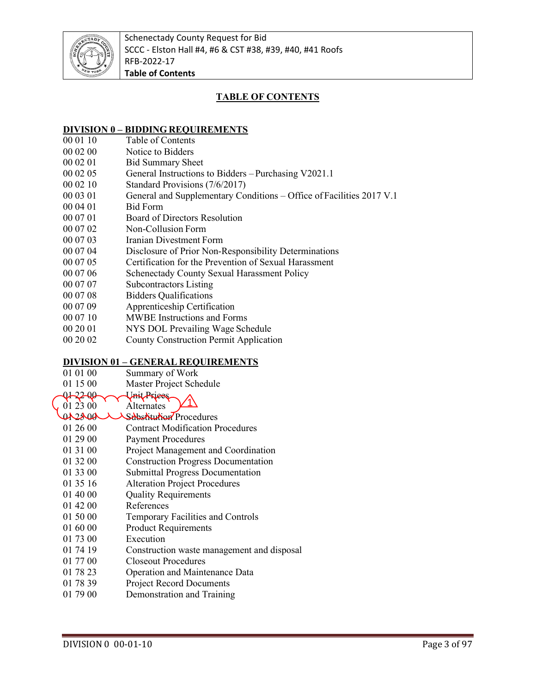

# **TABLE OF CONTENTS**

# **DIVISION 0 – BIDDING REQUIREMENTS**<br>00 01 10 Table of Contents

- Table of Contents
- 00 02 00 Notice to Bidders
- 00 02 01 Bid Summary Sheet
- 00 02 05 General Instructions to Bidders Purchasing V2021.1
- 00 02 10 Standard Provisions (7/6/2017)
- 00 03 01 General and Supplementary Conditions Office of Facilities 2017 V.1
- 00 04 01 Bid Form
- 00 07 01 Board of Directors Resolution
- 00 07 02 Non-Collusion Form
- 00 07 03 Iranian Divestment Form
- 00 07 04 Disclosure of Prior Non-Responsibility Determinations
- 00 07 05 Certification for the Prevention of Sexual Harassment
- 00 07 06 Schenectady County Sexual Harassment Policy
- 00 07 07 Subcontractors Listing
- 00 07 08 Bidders Qualifications
- 00 07 09 Apprenticeship Certification
- 00 07 10 MWBE Instructions and Forms
- 00 20 01 NYS DOL Prevailing Wage Schedule
- 00 20 02 County Construction Permit Application

## **DIVISION 01 – GENERAL REQUIREMENTS**

- 01 01 00 Summary of Work
- 01 15 00 Master Project Schedule<br>Q1 22 00
- 01 22 00<br>01 23 00 Alternates
- 01 23 00 Alternates<br>01 23 00 Sabstitutio 1
- Substitution Procedures
- 01 26 00 Contract Modification Procedures
- 01 29 00 Payment Procedures
- 01 31 00 Project Management and Coordination
- 01 32 00 Construction Progress Documentation
- 01 33 00 Submittal Progress Documentation
- 01 35 16 Alteration Project Procedures
- 01 40 00 Quality Requirements
- 01 42 00 References
- 01 50 00 Temporary Facilities and Controls
- 01 60 00 Product Requirements
- 01 73 00 Execution
- 01 74 19 Construction waste management and disposal
- 01 77 00 Closeout Procedures
- 01 78 23 Operation and Maintenance Data<br>01 78 39 Project Record Documents
- Project Record Documents
- 01 79 00 Demonstration and Training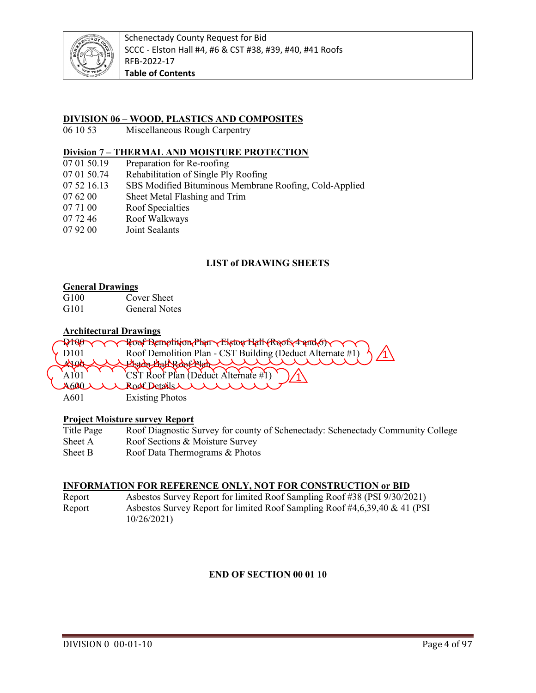

## **DIVISION 06 – WOOD, PLASTICS AND COMPOSITES**

06 10 53 Miscellaneous Rough Carpentry

## **Division 7 – THERMAL AND MOISTURE PROTECTION**

- 07 01 50.19 Preparation for Re-roofing
- 07 01 50.74 Rehabilitation of Single Ply Roofing
- 07 52 16.13 SBS Modified Bituminous Membrane Roofing, Cold-Applied
- 07 62 00 Sheet Metal Flashing and Trim
- 07 71 00 Roof Specialties
- 07 72 46 Roof Walkways
- 07 92 00 Joint Sealants

## **LIST of DRAWING SHEETS**

#### **General Drawings**

G100 Cover Sheet<br>G101 General Note General Notes

#### **Architectural Drawings**

|                           | PtNO Y Y Roof Bemptition/Phan Y Elston Hatt (Roofs/4 and 6) Y Y Y   |
|---------------------------|---------------------------------------------------------------------|
| $\times$ D <sub>101</sub> | Roof Demolition Plan - CST Building (Deduct Alternate #1) $\Lambda$ |
|                           | <u> Elston Hall Roberland del d</u>                                 |
|                           | 'CST Roof Plan (Deduct Alternate #1)                                |
|                           | A600 UN Rodt Details UN                                             |
| A601                      | <b>Existing Photos</b>                                              |

## **Project Moisture survey Report**

| Title Page | Roof Diagnostic Survey for county of Schenectady: Schenectady Community College |
|------------|---------------------------------------------------------------------------------|
| Sheet A    | Roof Sections & Moisture Survey                                                 |
| Sheet B    | Roof Data Thermograms & Photos                                                  |

#### **INFORMATION FOR REFERENCE ONLY, NOT FOR CONSTRUCTION or BID**

Report Asbestos Survey Report for limited Roof Sampling Roof #38 (PSI 9/30/2021) Report Asbestos Survey Report for limited Roof Sampling Roof #4,6,39,40 & 41 (PSI 10/26/2021)

## **END OF SECTION 00 01 10**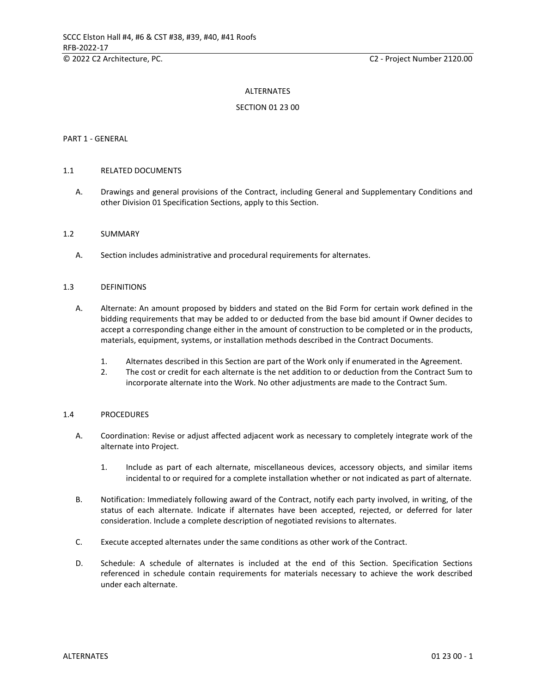#### ALTERNATES

#### SECTION 01 23 00

#### PART 1 - GENERAL

#### 1.1 RELATED DOCUMENTS

A. Drawings and general provisions of the Contract, including General and Supplementary Conditions and other Division 01 Specification Sections, apply to this Section.

#### 1.2 SUMMARY

A. Section includes administrative and procedural requirements for alternates.

#### 1.3 DEFINITIONS

- A. Alternate: An amount proposed by bidders and stated on the Bid Form for certain work defined in the bidding requirements that may be added to or deducted from the base bid amount if Owner decides to accept a corresponding change either in the amount of construction to be completed or in the products, materials, equipment, systems, or installation methods described in the Contract Documents.
	- 1. Alternates described in this Section are part of the Work only if enumerated in the Agreement.
	- 2. The cost or credit for each alternate is the net addition to or deduction from the Contract Sum to incorporate alternate into the Work. No other adjustments are made to the Contract Sum.

#### 1.4 PROCEDURES

- A. Coordination: Revise or adjust affected adjacent work as necessary to completely integrate work of the alternate into Project.
	- 1. Include as part of each alternate, miscellaneous devices, accessory objects, and similar items incidental to or required for a complete installation whether or not indicated as part of alternate.
- B. Notification: Immediately following award of the Contract, notify each party involved, in writing, of the status of each alternate. Indicate if alternates have been accepted, rejected, or deferred for later consideration. Include a complete description of negotiated revisions to alternates.
- C. Execute accepted alternates under the same conditions as other work of the Contract.
- D. Schedule: A schedule of alternates is included at the end of this Section. Specification Sections referenced in schedule contain requirements for materials necessary to achieve the work described under each alternate.